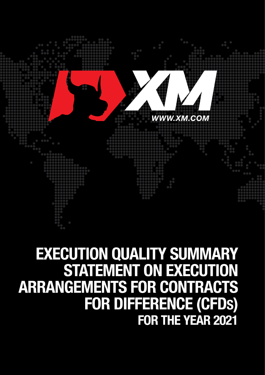

# **EXECUTION QUALITY SUMMARY STATEMENT ON EXECUTION ARRANGEMENTS FOR CONTRACTS** FOR DIFFERENCE (CFDS) FOR THE YEAR 2021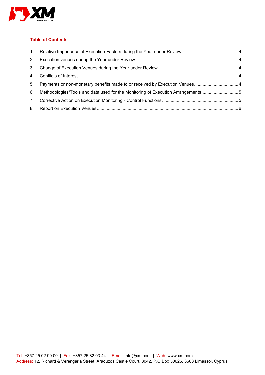

## **Table of Contents**

| 2. |                                                                                 |  |
|----|---------------------------------------------------------------------------------|--|
|    |                                                                                 |  |
|    |                                                                                 |  |
| 5. |                                                                                 |  |
| 6. | Methodologies/Tools and data used for the Monitoring of Execution Arrangements5 |  |
|    |                                                                                 |  |
| 8. |                                                                                 |  |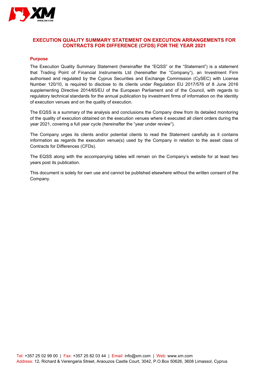

## **EXECUTION QUALITY SUMMARY STATEMENT ON EXECUTION ARRANGEMENTS FOR CONTRACTS FOR DIFFERENCE (CFDS) FOR THE YEAR 2021**

#### **Purpose**

The Execution Quality Summary Statement (hereinafter the "EQSS" or the "Statement") is a statement that Trading Point of Financial Instruments Ltd (hereinafter the "Company"), an Investment Firm authorised and regulated by the Cyprus Securities and Exchange Commission (CySEC) with License Number 120/10, is required to disclose to its clients under Regulation EU 2017/576 of 8 June 2016 supplementing Directive 2014/65/EU of the European Parliament and of the Council, with regards to regulatory technical standards for the annual publication by investment firms of information on the identity of execution venues and on the quality of execution.

The EQSS is a summary of the analysis and conclusions the Company drew from its detailed monitoring of the quality of execution obtained on the execution venues where it executed all client orders during the year 2021, covering a full year cycle (hereinafter the "year under review").

The Company urges its clients and/or potential clients to read the Statement carefully as it contains information as regards the execution venue(s) used by the Company in relation to the asset class of Contracts for Differences (CFDs).

The EQSS along with the accompanying tables will remain on the Company's website for at least two years post its publication.

This document is solely for own use and cannot be published elsewhere without the written consent of the Company.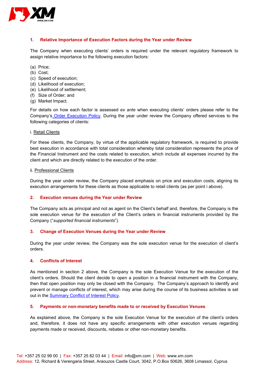

#### <span id="page-3-0"></span>**1. Relative Importance of Execution Factors during the Year under Review**

The Company when executing clients' orders is required under the relevant regulatory framework to assign relative importance to the following execution factors:

- (a) Price;
- (b) Cost;
- (c) Speed of execution;
- (d) Likelihood of execution;
- (e) Likelihood of settlement;
- (f) Size of Order; and
- (g) Market Impact.

For details on how each factor is assessed *ex ante* when executing clients' orders please refer to the Company's [Order Execution Policy.](https://www.xm.com/assets/pdf/new/docs/XM-Order-Execution-Policy.pdf?v5) During the year under review the Company offered services to the following categories of clients:

#### i. Retail Clients

For these clients, the Company, by virtue of the applicable regulatory framework, is required to provide best execution in accordance with total consideration whereby total consideration represents the price of the Financial Instrument and the costs related to execution, which include all expenses incurred by the client and which are directly related to the execution of the order.

#### ii. Professional Clients

During the year under review, the Company placed emphasis on price and execution costs, aligning its execution arrangements for these clients as those applicable to retail clients (as per point i above).

#### <span id="page-3-1"></span>**2. Execution venues during the Year under Review**

The Company acts as principal and not as agent on the Client's behalf and, therefore, the Company is the sole execution venue for the execution of the Client's orders in financial instruments provided by the Company ("*supported financial instruments*").

#### <span id="page-3-2"></span>**3. Change of Execution Venues during the Year under Review**

During the year under review, the Company was the sole execution venue for the execution of client's orders.

#### <span id="page-3-3"></span>**4. Conflicts of Interest**

As mentioned in section 2 above, the Company is the sole Execution Venue for the execution of the client's orders. Should the client decide to open a position in a financial instrument with the Company, then that open position may only be closed with the Company. The Company's approach to identify and prevent or manage conflicts of interest, which may arise during the course of its business activities is set out in the [Summary Conflict of Interest Policy.](https://www.xm.com/assets/pdf/new/docs/XMCY-Summary-of-Conflicts-of-Interest-Policy.pdf)

#### <span id="page-3-4"></span>**5. Payments or non-monetary benefits made to or received by Execution Venues**

As explained above, the Company is the sole Execution Venue for the execution of the client's orders and, therefore, it does not have any specific arrangements with other execution venues regarding payments made or received, discounts, rebates or other non-monetary benefits.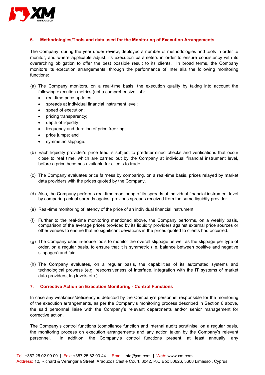

#### <span id="page-4-0"></span>**6. Methodologies/Tools and data used for the Monitoring of Execution Arrangements**

The Company, during the year under review, deployed a number of methodologies and tools in order to monitor, and where applicable adjust, its execution parameters in order to ensure consistency with its overarching obligation to offer the best possible result to its clients. In broad terms, the Company monitors its execution arrangements, through the performance of inter alia the following monitoring functions:

- (a) The Company monitors, on a real-time basis, the execution quality by taking into account the following execution metrics (not a comprehensive list):
	- real-time price updates;
	- spreads at individual financial instrument level;
	- speed of execution;
	- pricing transparency;
	- depth of liquidity.
	- frequency and duration of price freezing;
	- price jumps; and
	- symmetric slippage.
- (b) Each liquidity provider's price feed is subject to predetermined checks and verifications that occur close to real time, which are carried out by the Company at individual financial instrument level, before a price becomes available for clients to trade.
- (c) The Company evaluates price fairness by comparing, on a real-time basis, prices relayed by market data providers with the prices quoted by the Company.
- (d) Also, the Company performs real-time monitoring of its spreads at individual financial instrument level by comparing actual spreads against previous spreads received from the same liquidity provider.
- (e) Real-time monitoring of latency of the price of an individual financial instrument.
- (f) Further to the real-time monitoring mentioned above, the Company performs, on a weekly basis, comparison of the average prices provided by its liquidity providers against external price sources or other venues to ensure that no significant deviations in the prices quoted to clients had occurred.
- (g) The Company uses in-house tools to monitor the overall slippage as well as the slippage per type of order, on a regular basis, to ensure that it is symmetric (i.e. balance between positive and negative slippages) and fair.
- (h) The Company evaluates, on a regular basis, the capabilities of its automated systems and technological prowess (e.g. responsiveness of interface, integration with the IT systems of market data providers, lag levels etc.).

#### <span id="page-4-1"></span>**7. Corrective Action on Execution Monitoring - Control Functions**

In case any weakness/deficiency is detected by the Company's personnel responsible for the monitoring of the execution arrangements, as per the Company's monitoring process described in Section 6 above, the said personnel liaise with the Company's relevant departments and/or senior management for corrective action.

The Company's control functions (compliance function and internal audit) scrutinise, on a regular basis, the monitoring process on execution arrangements and any action taken by the Company's relevant personnel. In addition, the Company's control functions present, at least annually, any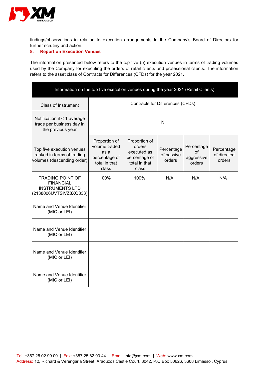

findings/observations in relation to execution arrangements to the Company's Board of Directors for further scrutiny and action.

### <span id="page-5-0"></span>**8. Report on Execution Venues**

The information presented below refers to the top five (5) execution venues in terms of trading volumes used by the Company for executing the orders of retail clients and professional clients. The information refers to the asset class of Contracts for Differences (CFDs) for the year 2021.

| Information on the top five execution venues during the year 2021 (Retail Clients)              |                                                                                   |                                                                                   |                                    |                                                 |                                     |  |  |  |
|-------------------------------------------------------------------------------------------------|-----------------------------------------------------------------------------------|-----------------------------------------------------------------------------------|------------------------------------|-------------------------------------------------|-------------------------------------|--|--|--|
| <b>Class of Instrument</b>                                                                      | Contracts for Differences (CFDs)                                                  |                                                                                   |                                    |                                                 |                                     |  |  |  |
| Notification if < 1 average<br>trade per business day in<br>the previous year                   | N                                                                                 |                                                                                   |                                    |                                                 |                                     |  |  |  |
| Top five execution venues<br>ranked in terms of trading<br>volumes (descending order)           | Proportion of<br>volume traded<br>as a<br>percentage of<br>total in that<br>class | Proportion of<br>orders<br>executed as<br>percentage of<br>total in that<br>class | Percentage<br>of passive<br>orders | Percentage<br><b>of</b><br>aggressive<br>orders | Percentage<br>of directed<br>orders |  |  |  |
| <b>TRADING POINT OF</b><br><b>FINANCIAL</b><br><b>INSTRUMENTS LTD</b><br>(2138006UVTSIVZ8XQ833) | 100%                                                                              | 100%                                                                              | N/A                                | N/A                                             | N/A                                 |  |  |  |
| Name and Venue Identifier<br>(MIC or LEI)                                                       |                                                                                   |                                                                                   |                                    |                                                 |                                     |  |  |  |
| Name and Venue Identifier<br>(MIC or LEI)                                                       |                                                                                   |                                                                                   |                                    |                                                 |                                     |  |  |  |
| Name and Venue Identifier<br>(MIC or LEI)                                                       |                                                                                   |                                                                                   |                                    |                                                 |                                     |  |  |  |
| Name and Venue Identifier<br>(MIC or LEI)                                                       |                                                                                   |                                                                                   |                                    |                                                 |                                     |  |  |  |